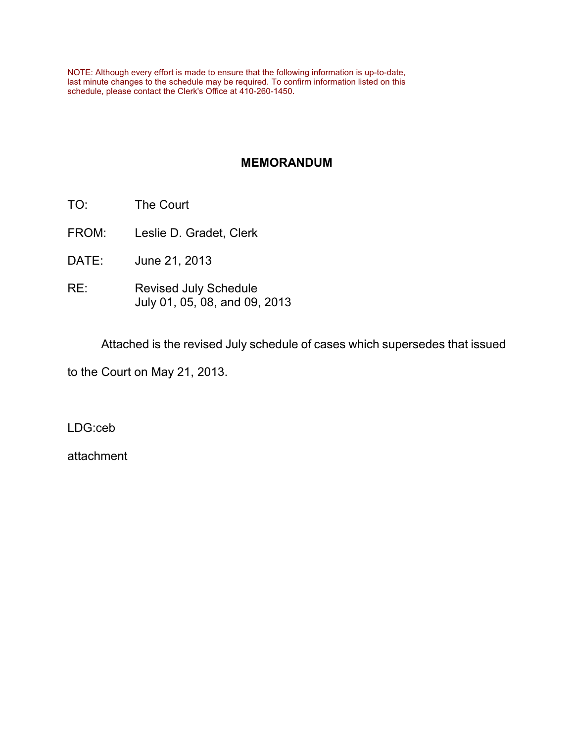## **MEMORANDUM**

- TO: The Court
- FROM: Leslie D. Gradet, Clerk
- DATE: June 21, 2013
- RE: Revised July Schedule July 01, 05, 08, and 09, 2013

Attached is the revised July schedule of cases which supersedes that issued

to the Court on May 21, 2013.

LDG:ceb

attachment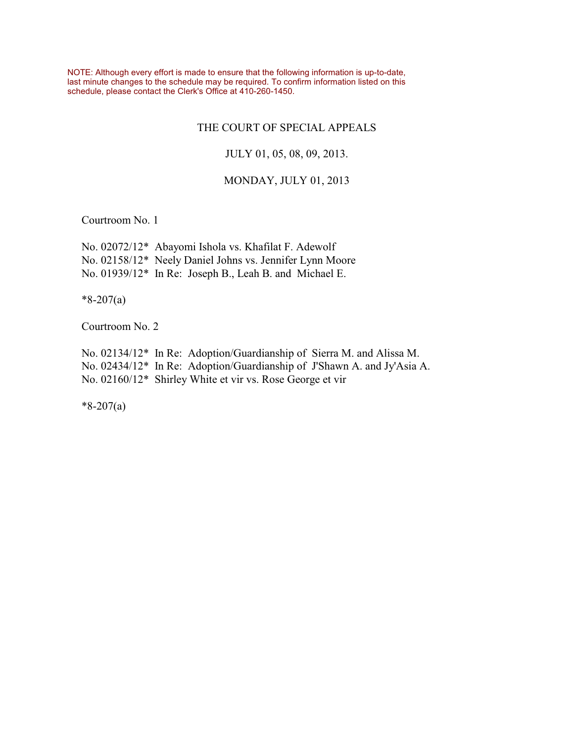#### THE COURT OF SPECIAL APPEALS

### JULY 01, 05, 08, 09, 2013.

### MONDAY, JULY 01, 2013

Courtroom No. 1

| No. 02072/12* Abayomi Ishola vs. Khafilat F. Adewolf     |
|----------------------------------------------------------|
| No. 02158/12* Neely Daniel Johns vs. Jennifer Lynn Moore |
| No. 01939/12* In Re: Joseph B., Leah B. and Michael E.   |

\*8-207(a)

Courtroom No. 2

 No. 02134/12\* In Re: Adoption/Guardianship of Sierra M. and Alissa M. No. 02434/12\* In Re: Adoption/Guardianship of J'Shawn A. and Jy'Asia A. No. 02160/12\* Shirley White et vir vs. Rose George et vir

\*8-207(a)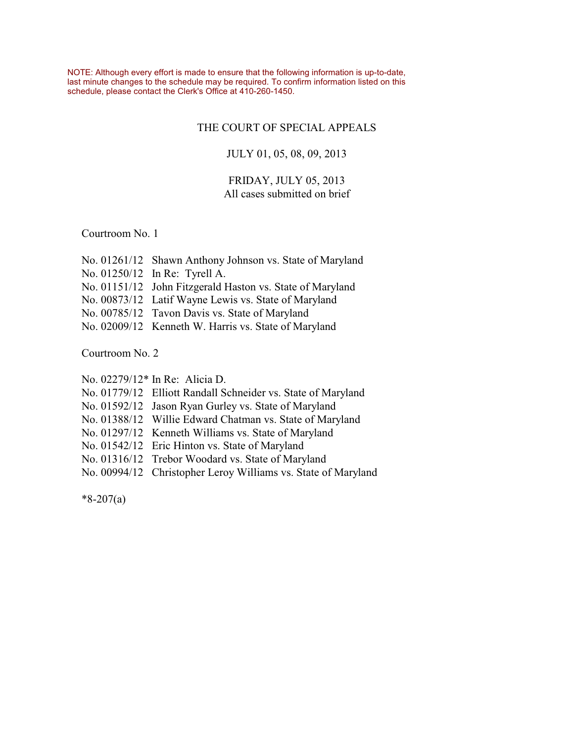#### THE COURT OF SPECIAL APPEALS

#### JULY 01, 05, 08, 09, 2013

#### FRIDAY, JULY 05, 2013 All cases submitted on brief

Courtroom No. 1

- No. 01261/12 Shawn Anthony Johnson vs. State of Maryland
- No. 01250/12 In Re: Tyrell A.
- No. 01151/12 John Fitzgerald Haston vs. State of Maryland
- No. 00873/12 Latif Wayne Lewis vs. State of Maryland
- No. 00785/12 Tavon Davis vs. State of Maryland
- No. 02009/12 Kenneth W. Harris vs. State of Maryland

Courtroom No. 2

No. 02279/12\* In Re: Alicia D.

- No. 01779/12 Elliott Randall Schneider vs. State of Maryland
- No. 01592/12 Jason Ryan Gurley vs. State of Maryland
- No. 01388/12 Willie Edward Chatman vs. State of Maryland
- No. 01297/12 Kenneth Williams vs. State of Maryland
- No. 01542/12 Eric Hinton vs. State of Maryland
- No. 01316/12 Trebor Woodard vs. State of Maryland
- No. 00994/12 Christopher Leroy Williams vs. State of Maryland

\*8-207(a)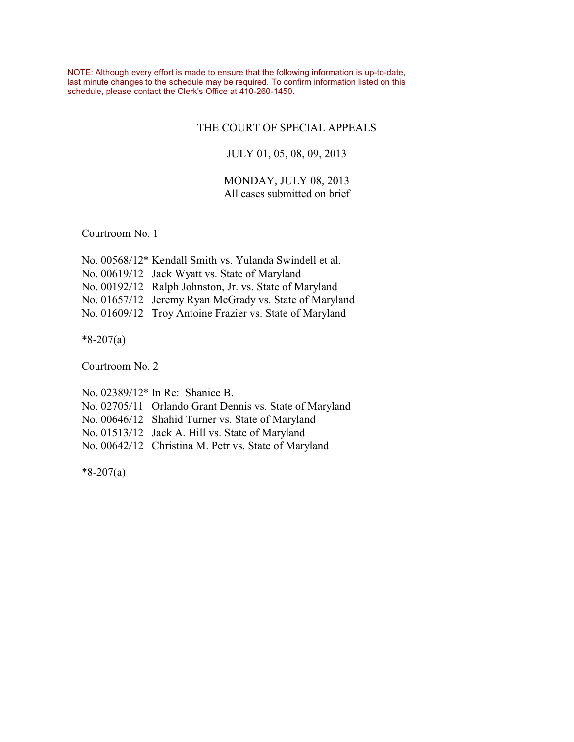#### THE COURT OF SPECIAL APPEALS

### JULY 01, 05, 08, 09, 2013

## MONDAY, JULY 08, 2013 All cases submitted on brief

Courtroom No. 1

| No. 00568/12* Kendall Smith vs. Yulanda Swindell et al. |
|---------------------------------------------------------|
| No. 00619/12 Jack Wyatt vs. State of Maryland           |
| No. 00192/12 Ralph Johnston, Jr. vs. State of Maryland  |
| No. 01657/12 Jeremy Ryan McGrady vs. State of Maryland  |
| No. 01609/12 Troy Antoine Frazier vs. State of Maryland |

\*8-207(a)

Courtroom No. 2

|  | No. 02389/12* In Re: Shanice B.                         |
|--|---------------------------------------------------------|
|  | No. 02705/11 Orlando Grant Dennis vs. State of Maryland |
|  | No. 00646/12 Shahid Turner vs. State of Maryland        |
|  | No. 01513/12 Jack A. Hill vs. State of Maryland         |
|  | No. 00642/12 Christina M. Petr vs. State of Maryland    |
|  |                                                         |

\*8-207(a)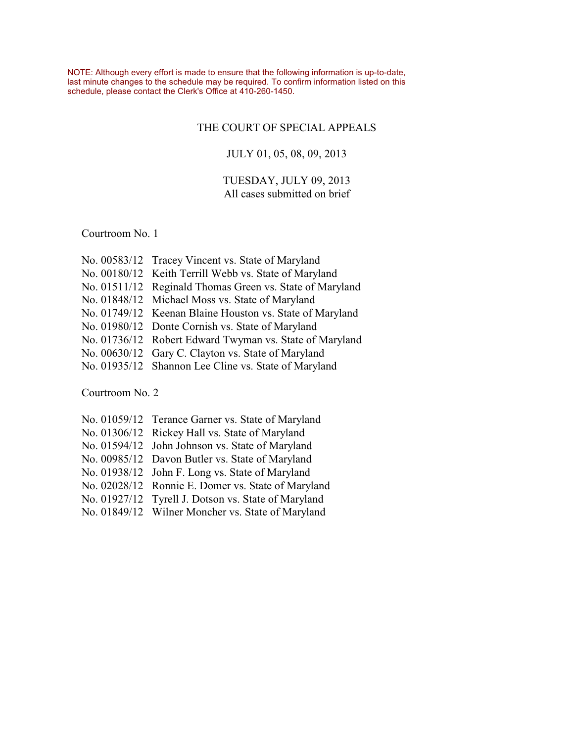#### THE COURT OF SPECIAL APPEALS

#### JULY 01, 05, 08, 09, 2013

## TUESDAY, JULY 09, 2013 All cases submitted on brief

Courtroom No. 1

|  | No. 00583/12 Tracey Vincent vs. State of Maryland        |
|--|----------------------------------------------------------|
|  | No. 00180/12 Keith Terrill Webb vs. State of Maryland    |
|  | No. 01511/12 Reginald Thomas Green vs. State of Maryland |
|  | No. 01848/12 Michael Moss vs. State of Maryland          |
|  | No. 01749/12 Keenan Blaine Houston vs. State of Maryland |
|  | No. 01980/12 Donte Cornish vs. State of Maryland         |
|  | No. 01736/12 Robert Edward Twyman vs. State of Maryland  |
|  | No. 00630/12 Gary C. Clayton vs. State of Maryland       |
|  | No. 01935/12 Shannon Lee Cline vs. State of Maryland     |
|  |                                                          |

Courtroom No. 2

| No. 01059/12 Terance Garner vs. State of Maryland   |
|-----------------------------------------------------|
| No. 01306/12 Rickey Hall vs. State of Maryland      |
| No. 01594/12 John Johnson vs. State of Maryland     |
| No. 00985/12 Davon Butler vs. State of Maryland     |
| No. 01938/12 John F. Long vs. State of Maryland     |
| No. 02028/12 Ronnie E. Domer vs. State of Maryland  |
| No. 01927/12 Tyrell J. Dotson vs. State of Maryland |
| No. 01849/12 Wilner Moncher vs. State of Maryland   |
|                                                     |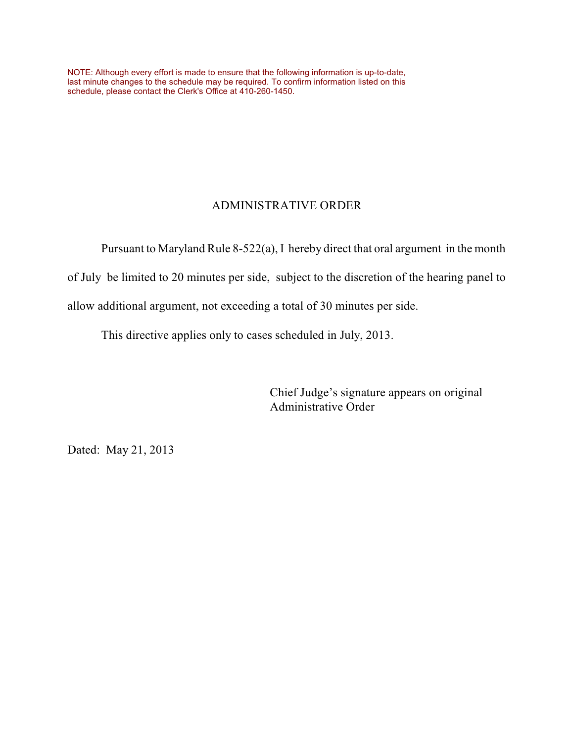# ADMINISTRATIVE ORDER

Pursuant to Maryland Rule 8-522(a), I hereby direct that oral argument in the month

of July be limited to 20 minutes per side, subject to the discretion of the hearing panel to

allow additional argument, not exceeding a total of 30 minutes per side.

This directive applies only to cases scheduled in July, 2013.

Chief Judge's signature appears on original Administrative Order

Dated: May 21, 2013